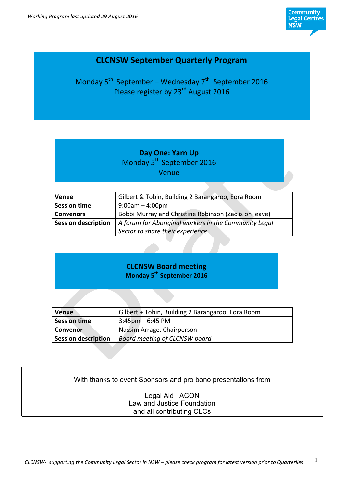

## **CLCNSW September Quarterly Program**

Monday  $5^{th}$  September – Wednesday  $7^{th}$  September 2016 Please register by 23<sup>rd</sup> August 2016

## **Day One: Yarn Up** Monday 5<sup>th</sup> September 2016 Venue

| <b>Venue</b>               | Gilbert & Tobin, Building 2 Barangaroo, Eora Room     |
|----------------------------|-------------------------------------------------------|
| <b>Session time</b>        | $9:00$ am – 4:00pm                                    |
|                            |                                                       |
| <b>Convenors</b>           | Bobbi Murray and Christine Robinson (Zac is on leave) |
| <b>Session description</b> | A forum for Aboriginal workers in the Community Legal |
|                            | Sector to share their experience                      |

## **CLCNSW Board meeting Monday 5th September 2016**

| <b>Venue</b>               | Gilbert + Tobin, Building 2 Barangaroo, Eora Room |
|----------------------------|---------------------------------------------------|
| <b>Session time</b>        | $3:45 \text{pm} - 6:45 \text{PM}$                 |
| <b>Convenor</b>            | Nassim Arrage, Chairperson                        |
| <b>Session description</b> | Board meeting of CLCNSW board                     |

## With thanks to event Sponsors and pro bono presentations from

Legal Aid ACON Law and Justice Foundation and all contributing CLCs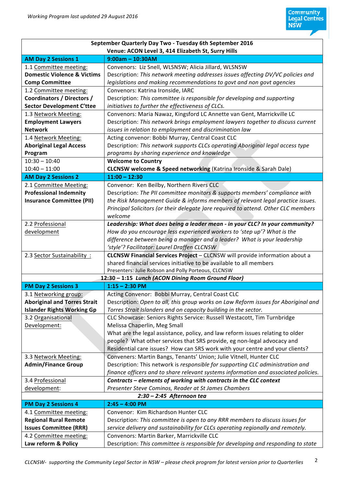| September Quarterly Day Two - Tuesday 6th September 2016 |                                                                                     |  |
|----------------------------------------------------------|-------------------------------------------------------------------------------------|--|
| Venue: ACON Level 3, 414 Elizabeth St, Surry Hills       |                                                                                     |  |
| <b>AM Day 2 Sessions 1</b>                               | $9:00am - 10:30AM$                                                                  |  |
| 1.1 Committee meeting:                                   | Convenors: Liz Snell, WLSNSW; Alicia Jillard, WLSNSW                                |  |
| <b>Domestic Violence &amp; Victims</b>                   | Description: This network meeting addresses issues affecting DV/VC policies and     |  |
| <b>Comp Committee</b>                                    | legislations and making recommendations to govt and non govt agencies               |  |
| 1.2 Committee meeting:                                   | Convenors: Katrina Ironside, IARC                                                   |  |
| <b>Coordinators / Directors /</b>                        | Description: This committee is responsible for developing and supporting            |  |
| <b>Sector Development C'ttee</b>                         | initiatives to further the effectiveness of CLCs.                                   |  |
| 1.3 Network Meeting:                                     | Convenors: Maria Nawaz, Kingsford LC Annette van Gent, Marrickville LC              |  |
| <b>Employment Lawyers</b>                                | Description: This network brings employment lawyers together to discuss current     |  |
| <b>Network</b>                                           | issues in relation to employment and discrimination law                             |  |
| 1.4 Network Meeting:                                     | Acting convenor: Bobbi Murray, Central Coast CLC                                    |  |
| <b>Aboriginal Legal Access</b>                           | Description: This network supports CLCs operating Aboriginal legal access type      |  |
| Program                                                  | programs by sharing experience and knowledge                                        |  |
| $10:30 - 10:40$                                          | <b>Welcome to Country</b>                                                           |  |
| $10:40 - 11:00$                                          | <b>CLCNSW welcome &amp; Speed networking (Katrina Ironside &amp; Sarah Dale)</b>    |  |
| <b>AM Day 2 Sessions 2</b>                               | $11:00 - 12:30$                                                                     |  |
| 2.1 Committee Meeting:                                   | Convenor: Ken Beilby, Northern Rivers CLC                                           |  |
| <b>Professional Indemnity</b>                            | Description: The PII committee monitors & supports members' compliance with         |  |
| <b>Insurance Committee (PII)</b>                         | the Risk Management Guide & informs members of relevant legal practice issues.      |  |
|                                                          | Principal Solicitors (or their delegate )are required to attend. Other CLC members  |  |
|                                                          | welcome                                                                             |  |
| 2.2 Professional                                         | Leadership: What does being a leader mean - in your CLC? In your community?         |  |
| development                                              | How do you encourage less experienced workers to 'step up'? What is the             |  |
|                                                          | difference between being a manager and a leader? What is your leadership            |  |
|                                                          | 'style'? Facilitator: Laurel Draffen CLCNSW                                         |  |
| 2.3 Sector Sustainability:                               | CLCNSW Financial Services Project - CLCNSW will provide information about a         |  |
|                                                          | shared financial services initiative to be available to all members                 |  |
|                                                          | Presenters: Julie Robson and Polly Porteous, CLCNSW                                 |  |
|                                                          | 12:30 - 1:15 Lunch (ACON Dining Room Ground Floor)                                  |  |
| <b>PM Day 2 Sessions 3</b>                               | $1:15 - 2:30$ PM                                                                    |  |
| 3.1 Networking group:                                    | Acting Convenor: Bobbi Murray, Central Coast CLC                                    |  |
| <b>Aboriginal and Torres Strait</b>                      | Description: Open to all, this group works on Law Reform issues for Aboriginal and  |  |
| <b>Islander Rights Working Gp</b>                        | Torres Strait Islanders and on capacity building in the sector.                     |  |
| 3.2 Organisational                                       | CLC Showcase: Seniors Rights Service: Russell Westacott, Tim Turnbridge             |  |
| Development:                                             | Melissa Chaperlin, Meg Small                                                        |  |
|                                                          | What are the legal assistance, policy, and law reform issues relating to older      |  |
|                                                          | people? What other services that SRS provide, eg non-legal advocacy and             |  |
|                                                          | Residential care issues? How can SRS work with your centre and your clients?        |  |
| 3.3 Network Meeting:                                     | Conveners: Martin Bangs, Tenants' Union; Julie Vitnell, Hunter CLC                  |  |
| <b>Admin/Finance Group</b>                               | Description: This network is responsible for supporting CLC administration and      |  |
|                                                          | finance officers and to share relevant systems information and associated policies. |  |
| 3.4 Professional                                         | Contracts - elements of working with contracts in the CLC context                   |  |
| development:                                             | Presenter Steve Cominos, Reader at St James Chambers                                |  |
| $2:30 - 2:45$ Afternoon tea                              |                                                                                     |  |
| <b>PM Day 2 Sessions 4</b>                               | $2:45 - 4:00$ PM                                                                    |  |
| 4.1 Committee meeting:                                   | Convenor: Kim Richardson Hunter CLC                                                 |  |
| <b>Regional Rural Remote</b>                             | Description: This committee is open to any RRR members to discuss issues for        |  |
| <b>Issues Committee (RRR)</b>                            | service delivery and sustainability for CLCs operating regionally and remotely.     |  |
|                                                          |                                                                                     |  |
| 4.2 Committee meeting:                                   | Convenors: Martin Barker, Marrickville CLC                                          |  |
| Law reform & Policy                                      | Description: This committee is responsible for developing and responding to state   |  |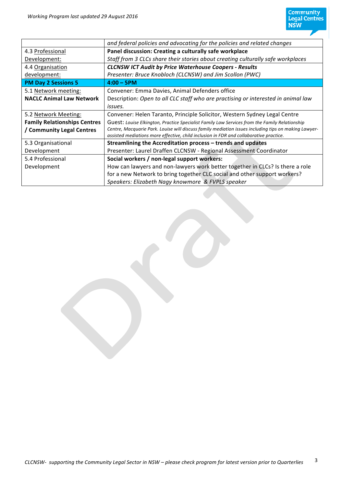| and federal policies and advocating for the policies and related changes                             |
|------------------------------------------------------------------------------------------------------|
| Panel discussion: Creating a culturally safe workplace                                               |
| Staff from 3 CLCs share their stories about creating culturally safe workplaces                      |
| <b>CLCNSW ICT Audit by Price Waterhouse Coopers - Results</b>                                        |
| Presenter: Bruce Knobloch (CLCNSW) and Jim Scollon (PWC)                                             |
| $4:00 - 5$ PM                                                                                        |
| Convener: Emma Davies, Animal Defenders office                                                       |
| Description: Open to all CLC staff who are practising or interested in animal law                    |
| issues.                                                                                              |
| Convener: Helen Taranto, Principle Solicitor, Western Sydney Legal Centre                            |
| Guest: Louise Elkington, Practice Specialist Family Law Services from the Family Relationship        |
| Centre, Macquarie Park. Louise will discuss family mediation issues including tips on making Lawyer- |
| assisted mediations more effective, child inclusion in FDR and collaborative practice.               |
| Streamlining the Accreditation process - trends and updates                                          |
| Presenter: Laurel Draffen CLCNSW - Regional Assessment Coordinator                                   |
| Social workers / non-legal support workers:                                                          |
| How can lawyers and non-lawyers work better together in CLCs? Is there a role                        |
| for a new Network to bring together CLC social and other support workers?                            |
| Speakers: Elizabeth Nagy knowmore & FVPLS speaker                                                    |
|                                                                                                      |